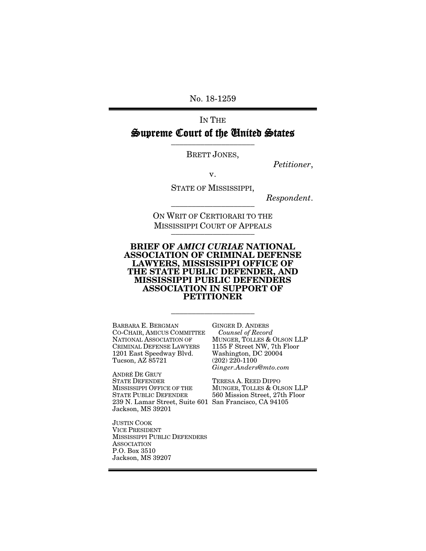No. 18-1259

# IN THE Supreme Court of the United States

BRETT JONES,

*Petitioner*,

v.

STATE OF MISSISSIPPI,

 $Respondent.$ 

ON WRIT OF CERTIORARI TO THE **MISSISSIPPI COURT OF APPEALS** 

#### BRIEF OF *AMICI CURIAE* NATIONAL ASSOCIATION OF CRIMINAL DEFENSE LAWYERS, MISSISSIPPI OFFICE OF THE STATE PUBLIC DEFENDER, AND MISSISSIPPI PUBLIC DEFENDERS ASSOCIATION IN SUPPORT OF PETITIONER

\_\_\_\_\_\_\_\_\_\_\_\_\_\_\_\_\_\_\_\_

BARBARA E. BERGMAN CO-CHAIR, AMICUS COMMITTEE NATIONAL ASSOCIATION OF CRIMINAL DEFENSE LAWYERS 1201 East Speedway Blvd. Tucson, AZ 85721

ANDRÉ DE GRUY STATE DEFENDER MISSISSIPPI OFFICE OF THE STATE PUBLIC DEFENDER 239 N. Lamar Street, Suite 601 San Francisco, CA 94105Jackson, MS 39201

JUSTIN COOK VICE PRESIDENT MISSISSIPPI PUBLIC DEFENDERS **ASSOCIATION** P.O. Box 3510 Jackson, MS 39207

GINGER D. ANDERS *Counsel of Record* MUNGER, TOLLES & OLSON LLP 1155 F Street NW, 7th Floor Washington, DC 20004 (202) 220-1100 *Ginger.Anders@mto.com*

TERESA A. REED DIPPO MUNGER, TOLLES & OLSON LLP 560 Mission Street, 27th Floor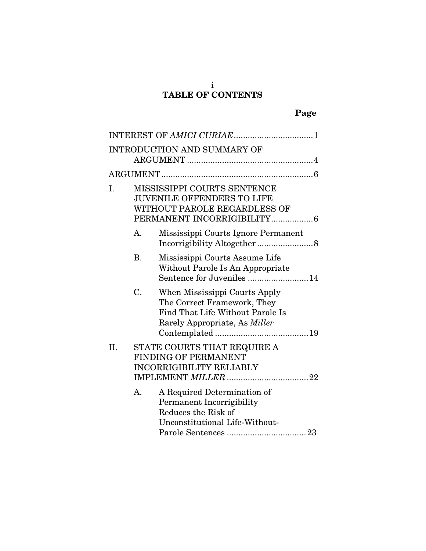#### i TABLE OF CONTENTS

|     |           | <b>INTRODUCTION AND SUMMARY OF</b>                                                                                                       |  |
|-----|-----------|------------------------------------------------------------------------------------------------------------------------------------------|--|
|     |           |                                                                                                                                          |  |
| I.  |           | MISSISSIPPI COURTS SENTENCE<br><b>JUVENILE OFFENDERS TO LIFE</b><br>WITHOUT PAROLE REGARDLESS OF<br>PERMANENT INCORRIGIBILITY6           |  |
|     | A.        | Mississippi Courts Ignore Permanent                                                                                                      |  |
|     | <b>B.</b> | Mississippi Courts Assume Life<br>Without Parole Is An Appropriate<br>Sentence for Juveniles 14                                          |  |
|     | C.        | When Mississippi Courts Apply<br>The Correct Framework, They<br>Find That Life Without Parole Is<br>Rarely Appropriate, As <i>Miller</i> |  |
| II. |           | STATE COURTS THAT REQUIRE A<br><b>FINDING OF PERMANENT</b><br><b>INCORRIGIBILITY RELIABLY</b>                                            |  |
|     | A.        | A Required Determination of<br><b>Permanent Incorrigibility</b><br>Reduces the Risk of<br>Unconstitutional Life-Without-                 |  |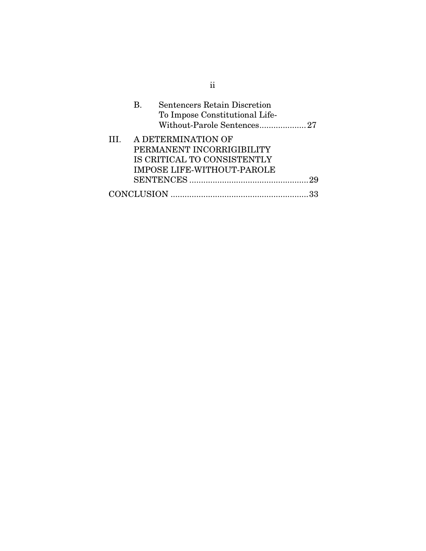|     | <b>Sentencers Retain Discretion</b><br>В.<br>To Impose Constitutional Life-<br>Without-Parole Sentences27           |      |
|-----|---------------------------------------------------------------------------------------------------------------------|------|
| TH. | A DETERMINATION OF<br>PERMANENT INCORRIGIBILITY<br>IS CRITICAL TO CONSISTENTLY<br><b>IMPOSE LIFE-WITHOUT-PAROLE</b> |      |
|     |                                                                                                                     | - 29 |
|     |                                                                                                                     |      |

ii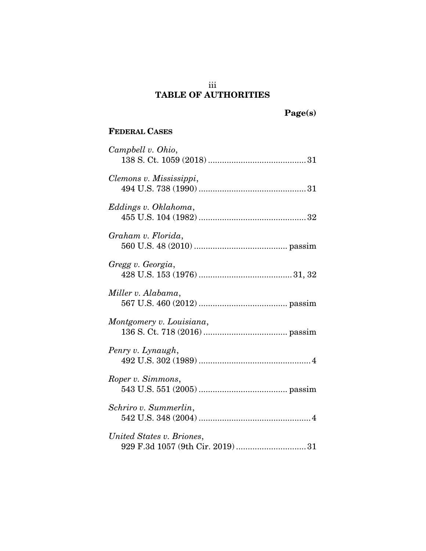### iii TABLE OF AUTHORITIES

Page(s)

# FEDERAL CASES

| Campbell v. Ohio,         |
|---------------------------|
|                           |
| Clemons v. Mississippi,   |
|                           |
| Eddings v. Oklahoma,      |
|                           |
| Graham v. Florida,        |
| Gregg v. Georgia,         |
|                           |
| Miller v. Alabama,        |
|                           |
| Montgomery v. Louisiana,  |
|                           |
| Penry v. Lynaugh,         |
|                           |
| Roper v. Simmons,         |
|                           |
| Schriro v. Summerlin,     |
|                           |
| United States v. Briones, |
|                           |
|                           |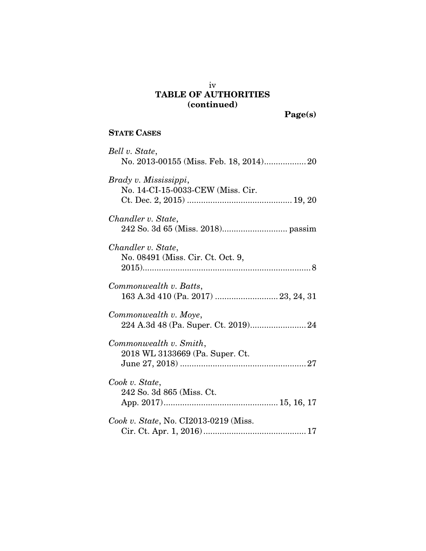# iv TABLE OF AUTHORITIES (continued)

Page(s)

# STATE CASES

| Bell v. State,                                                |
|---------------------------------------------------------------|
| Brady v. Mississippi,<br>No. 14-CI-15-0033-CEW (Miss. Cir.    |
| Chandler v. State,                                            |
| Chandler v. State,<br>No. 08491 (Miss. Cir. Ct. Oct. 9,       |
| Commonwealth v. Batts,<br>163 A.3d 410 (Pa. 2017)  23, 24, 31 |
| Commonwealth v. Moye,                                         |
| Commonwealth v. Smith,<br>2018 WL 3133669 (Pa. Super. Ct.     |
| Cook v. State,<br>242 So. 3d 865 (Miss. Ct.                   |
| Cook v. State, No. CI2013-0219 (Miss.                         |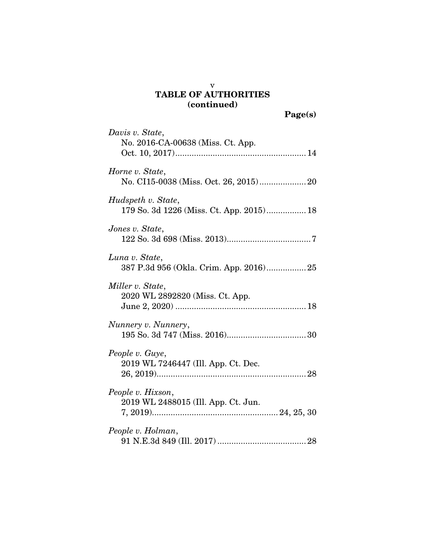## v TABLE OF AUTHORITIES (continued)

| Davis v. State,                                                |
|----------------------------------------------------------------|
| No. 2016-CA-00638 (Miss. Ct. App.                              |
| Horne v. State,<br>No. CI15-0038 (Miss. Oct. 26, 2015) 20      |
| Hudspeth v. State,<br>179 So. 3d 1226 (Miss. Ct. App. 2015) 18 |
| Jones v. State,                                                |
| Luna v. State,                                                 |
| Miller v. State,                                               |
| 2020 WL 2892820 (Miss. Ct. App.                                |
| Nunnery v. Nunnery,                                            |
| People v. Guye,                                                |
| 2019 WL 7246447 (Ill. App. Ct. Dec.                            |
| People v. Hixson,                                              |
| 2019 WL 2488015 (Ill. App. Ct. Jun.                            |
| People v. Holman,                                              |
|                                                                |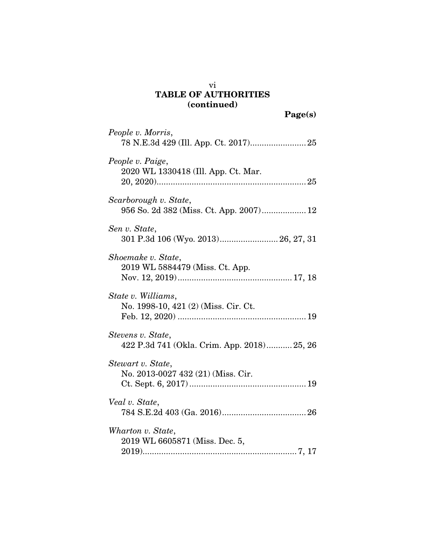# TABLE OF AUTHORITIES (continued)

| People v. Morris,                                                |
|------------------------------------------------------------------|
| People v. Paige,<br>2020 WL 1330418 (Ill. App. Ct. Mar.          |
| Scarborough v. State,<br>956 So. 2d 382 (Miss. Ct. App. 2007) 12 |
| Sen v. State,<br>301 P.3d 106 (Wyo. 2013) 26, 27, 31             |
| Shoemake v. State,<br>2019 WL 5884479 (Miss. Ct. App.            |
| State v. Williams,<br>No. 1998-10, 421 (2) (Miss. Cir. Ct.       |
| Stevens v. State,<br>422 P.3d 741 (Okla. Crim. App. 2018) 25, 26 |
| Stewart v. State,<br>No. 2013-0027 432 (21) (Miss. Cir.          |
| Veal v. State,<br>${\bf 784\ S.E.2d\ 403\ (Ga.\ 2016)26}$        |
| Wharton v. State,<br>2019 WL 6605871 (Miss. Dec. 5,              |

vi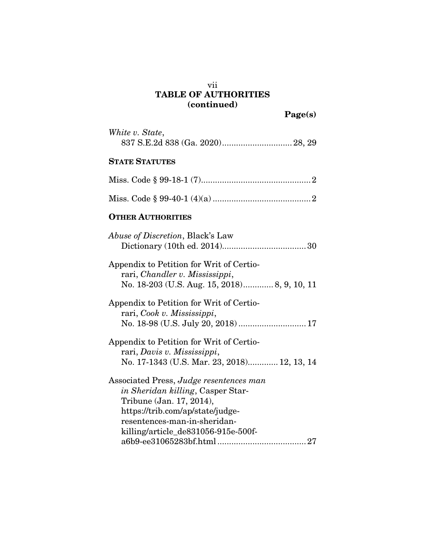## vii TABLE OF AUTHORITIES (continued)

Page(s)

| White v. State,                                                                                                                                                                                                     |
|---------------------------------------------------------------------------------------------------------------------------------------------------------------------------------------------------------------------|
| <b>STATE STATUTES</b>                                                                                                                                                                                               |
|                                                                                                                                                                                                                     |
|                                                                                                                                                                                                                     |
| <b>OTHER AUTHORITIES</b>                                                                                                                                                                                            |
| <i>Abuse of Discretion</i> , Black's Law                                                                                                                                                                            |
| Appendix to Petition for Writ of Certio-<br>rari, Chandler v. Mississippi,<br>No. 18-203 (U.S. Aug. 15, 2018) 8, 9, 10, 11                                                                                          |
| Appendix to Petition for Writ of Certio-<br>rari, Cook v. Mississippi,<br>No. 18-98 (U.S. July 20, 2018)  17                                                                                                        |
| Appendix to Petition for Writ of Certio-<br>rari, Davis v. Mississippi,<br>No. 17-1343 (U.S. Mar. 23, 2018) 12, 13, 14                                                                                              |
| Associated Press, Judge resentences man<br>in Sheridan killing, Casper Star-<br>Tribune (Jan. 17, 2014),<br>https://trib.com/ap/state/judge-<br>resentences-man-in-sheridan-<br>killing/article_de831056-915e-500f- |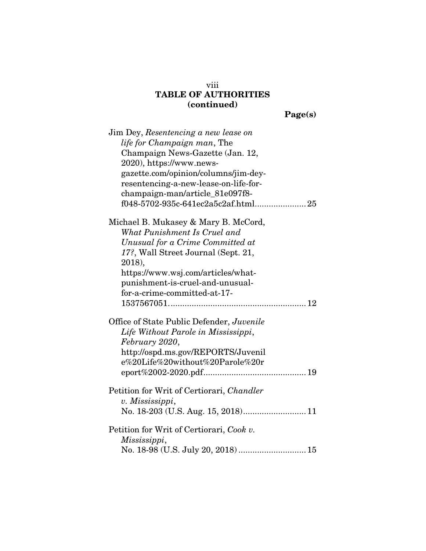# viii TABLE OF AUTHORITIES (continued)

Page(s)

| Jim Dey, Resentencing a new lease on      |
|-------------------------------------------|
| life for Champaign man, The               |
| Champaign News-Gazette (Jan. 12,          |
| 2020), https://www.news-                  |
| gazette.com/opinion/columns/jim-dey-      |
| resentencing-a-new-lease-on-life-for-     |
| champaign-man/article_81e097f8-           |
|                                           |
| Michael B. Mukasey & Mary B. McCord,      |
| What Punishment Is Cruel and              |
| Unusual for a Crime Committed at          |
| 17?, Wall Street Journal (Sept. 21,       |
| 2018),                                    |
| https://www.wsj.com/articles/what-        |
| punishment-is-cruel-and-unusual-          |
| for-a-crime-committed-at-17-              |
|                                           |
| Office of State Public Defender, Juvenile |
| Life Without Parole in Mississippi,       |
| February 2020,                            |
| http://ospd.ms.gov/REPORTS/Juvenil        |
| e%20Life%20without%20Parole%20r           |
|                                           |
| Petition for Writ of Certiorari, Chandler |
| v. Mississippi,                           |
|                                           |
| Petition for Writ of Certiorari, Cook v.  |
| Mississippi,                              |
| No. 18-98 (U.S. July 20, 2018)  15        |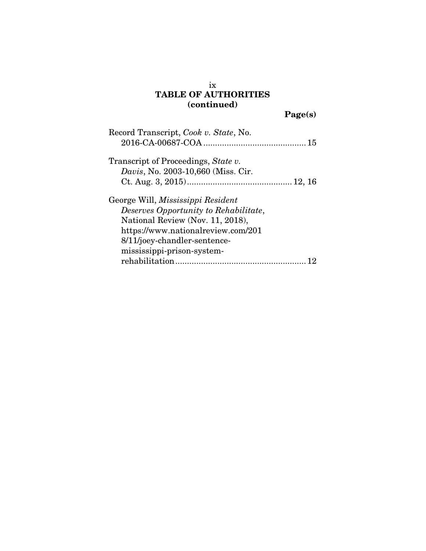## ix TABLE OF AUTHORITIES (continued)

Page(s)

| Record Transcript, Cook v. State, No.      |
|--------------------------------------------|
| Transcript of Proceedings, State v.        |
| <i>Davis</i> , No. 2003-10,660 (Miss. Cir. |
|                                            |
| George Will, Mississippi Resident          |
| Deserves Opportunity to Rehabilitate,      |
| National Review (Nov. 11, 2018),           |
| https://www.nationalreview.com/201         |
| 8/11/joey-chandler-sentence-               |
| mississippi-prison-system-                 |
|                                            |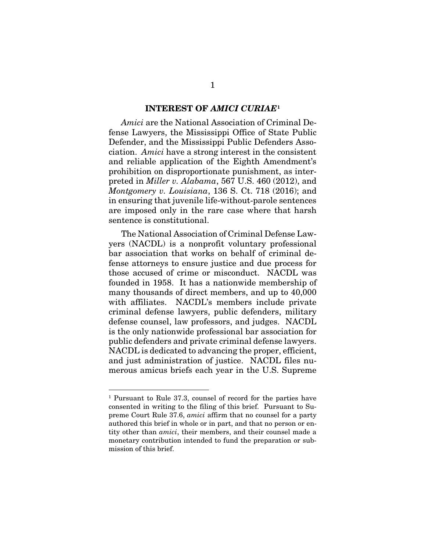#### INTEREST OF *AMICI CURIAE*[1](#page-10-0)

*Amici* are the National Association of Criminal Defense Lawyers, the Mississippi Office of State Public Defender, and the Mississippi Public Defenders Association. *Amici* have a strong interest in the consistent and reliable application of the Eighth Amendment's prohibition on disproportionate punishment, as interpreted in *Miller v. Alabama*, 567 U.S. 460 (2012), and *Montgomery v. Louisiana*, 136 S. Ct. 718 (2016); and in ensuring that juvenile life-without-parole sentences are imposed only in the rare case where that harsh sentence is constitutional.

The National Association of Criminal Defense Lawyers (NACDL) is a nonprofit voluntary professional bar association that works on behalf of criminal defense attorneys to ensure justice and due process for those accused of crime or misconduct. NACDL was founded in 1958. It has a nationwide membership of many thousands of direct members, and up to 40,000 with affiliates. NACDL's members include private criminal defense lawyers, public defenders, military defense counsel, law professors, and judges. NACDL is the only nationwide professional bar association for public defenders and private criminal defense lawyers. NACDL is dedicated to advancing the proper, efficient, and just administration of justice. NACDL files numerous amicus briefs each year in the U.S. Supreme

<span id="page-10-0"></span> <sup>1</sup> Pursuant to Rule 37.3, counsel of record for the parties have consented in writing to the filing of this brief. Pursuant to Supreme Court Rule 37.6, *amici* affirm that no counsel for a party authored this brief in whole or in part, and that no person or entity other than *amici*, their members, and their counsel made a monetary contribution intended to fund the preparation or submission of this brief.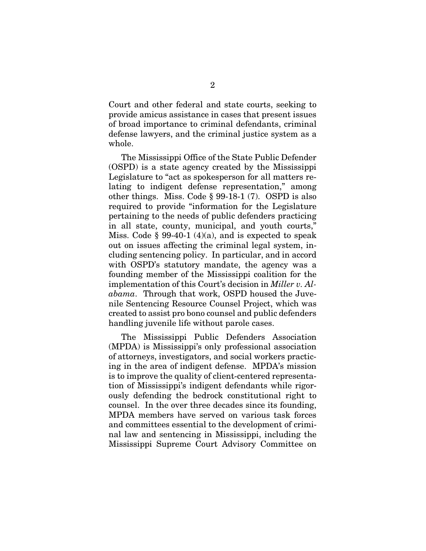Court and other federal and state courts, seeking to provide amicus assistance in cases that present issues of broad importance to criminal defendants, criminal defense lawyers, and the criminal justice system as a whole.

The Mississippi Office of the State Public Defender (OSPD) is a state agency created by the Mississippi Legislature to "act as spokesperson for all matters relating to indigent defense representation," among other things. Miss. Code § 99-18-1 (7). OSPD is also required to provide "information for the Legislature pertaining to the needs of public defenders practicing in all state, county, municipal, and youth courts," Miss. Code  $\S 99-40-1$  (4)(a), and is expected to speak out on issues affecting the criminal legal system, including sentencing policy. In particular, and in accord with OSPD's statutory mandate, the agency was a founding member of the Mississippi coalition for the implementation of this Court's decision in *Miller v. Alabama*. Through that work, OSPD housed the Juvenile Sentencing Resource Counsel Project, which was created to assist pro bono counsel and public defenders handling juvenile life without parole cases.

The Mississippi Public Defenders Association (MPDA) is Mississippi's only professional association of attorneys, investigators, and social workers practicing in the area of indigent defense. MPDA's mission is to improve the quality of client-centered representation of Mississippi's indigent defendants while rigorously defending the bedrock constitutional right to counsel. In the over three decades since its founding, MPDA members have served on various task forces and committees essential to the development of criminal law and sentencing in Mississippi, including the Mississippi Supreme Court Advisory Committee on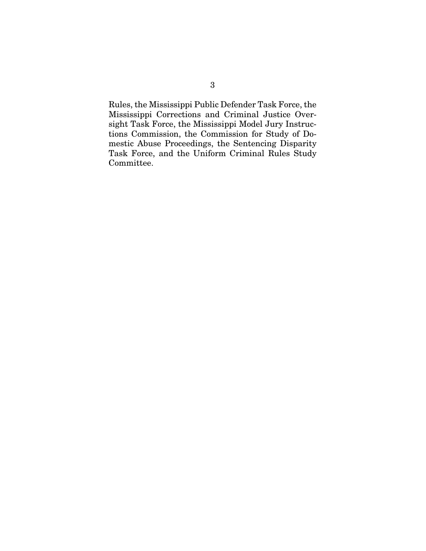Rules, the Mississippi Public Defender Task Force, the Mississippi Corrections and Criminal Justice Oversight Task Force, the Mississippi Model Jury Instructions Commission, the Commission for Study of Domestic Abuse Proceedings, the Sentencing Disparity Task Force, and the Uniform Criminal Rules Study Committee.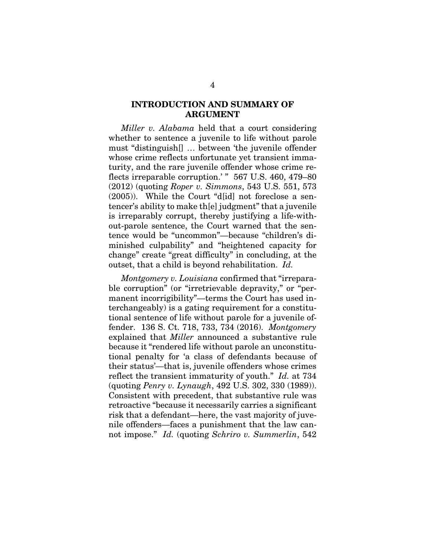### INTRODUCTION AND SUMMARY OF ARGUMENT

*Miller v. Alabama* held that a court considering whether to sentence a juvenile to life without parole must "distinguish[] … between 'the juvenile offender whose crime reflects unfortunate yet transient immaturity, and the rare juvenile offender whose crime reflects irreparable corruption.' " 567 U.S. 460, 479–80 (2012) (quoting *Roper v. Simmons*, 543 U.S. 551, 573 (2005)). While the Court "d[id] not foreclose a sentencer's ability to make th[e] judgment" that a juvenile is irreparably corrupt, thereby justifying a life-without-parole sentence, the Court warned that the sentence would be "uncommon"—because "children's diminished culpability" and "heightened capacity for change" create "great difficulty" in concluding, at the outset, that a child is beyond rehabilitation. *Id.*

*Montgomery v. Louisiana* confirmed that "irreparable corruption" (or "irretrievable depravity," or "permanent incorrigibility"—terms the Court has used interchangeably) is a gating requirement for a constitutional sentence of life without parole for a juvenile offender. 136 S. Ct. 718, 733, 734 (2016). *Montgomery* explained that *Miller* announced a substantive rule because it "rendered life without parole an unconstitutional penalty for 'a class of defendants because of their status'—that is, juvenile offenders whose crimes reflect the transient immaturity of youth." *Id.* at 734 (quoting *Penry v. Lynaugh*, 492 U.S. 302, 330 (1989)). Consistent with precedent, that substantive rule was retroactive "because it necessarily carries a significant risk that a defendant—here, the vast majority of juvenile offenders—faces a punishment that the law cannot impose." *Id.* (quoting *Schriro v. Summerlin*, 542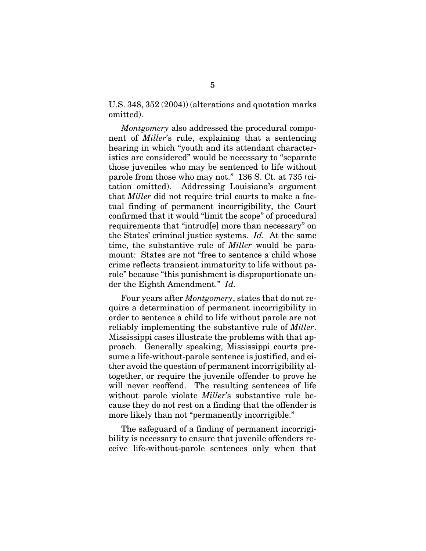U.S. 348, 352 (2004)) (alterations and quotation marks omitted).

*Montgomery* also addressed the procedural component of *Miller*'s rule, explaining that a sentencing hearing in which "youth and its attendant characteristics are considered" would be necessary to "separate those juveniles who may be sentenced to life without parole from those who may not." 136 S. Ct. at 735 (citation omitted). Addressing Louisiana's argument that *Miller* did not require trial courts to make a factual finding of permanent incorrigibility, the Court confirmed that it would "limit the scope" of procedural requirements that "intrud[e] more than necessary" on the States' criminal justice systems. *Id.* At the same time, the substantive rule of *Miller* would be paramount: States are not "free to sentence a child whose crime reflects transient immaturity to life without parole" because "this punishment is disproportionate under the Eighth Amendment." *Id.*

Four years after *Montgomery*, states that do not require a determination of permanent incorrigibility in order to sentence a child to life without parole are not reliably implementing the substantive rule of *Miller*. Mississippi cases illustrate the problems with that approach. Generally speaking, Mississippi courts presume a life-without-parole sentence is justified, and either avoid the question of permanent incorrigibility altogether, or require the juvenile offender to prove he will never reoffend. The resulting sentences of life without parole violate *Miller*'s substantive rule because they do not rest on a finding that the offender is more likely than not "permanently incorrigible."

The safeguard of a finding of permanent incorrigibility is necessary to ensure that juvenile offenders receive life-without-parole sentences only when that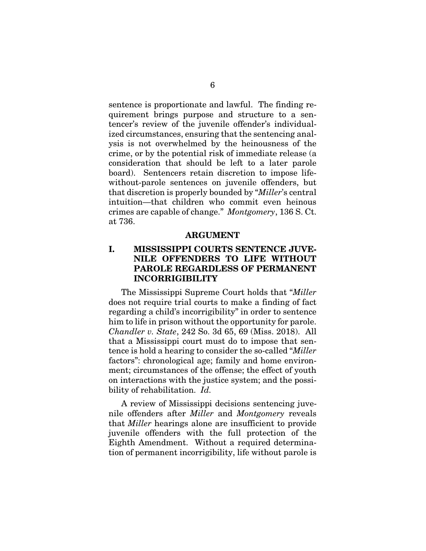sentence is proportionate and lawful. The finding requirement brings purpose and structure to a sentencer's review of the juvenile offender's individualized circumstances, ensuring that the sentencing analysis is not overwhelmed by the heinousness of the crime, or by the potential risk of immediate release (a consideration that should be left to a later parole board). Sentencers retain discretion to impose lifewithout-parole sentences on juvenile offenders, but that discretion is properly bounded by "*Miller*'s central intuition—that children who commit even heinous crimes are capable of change." *Montgomery*, 136 S. Ct. at 736.

#### ARGUMENT

### I. MISSISSIPPI COURTS SENTENCE JUVE-NILE OFFENDERS TO LIFE WITHOUT PAROLE REGARDLESS OF PERMANENT INCORRIGIBILITY

The Mississippi Supreme Court holds that "*Miller* does not require trial courts to make a finding of fact regarding a child's incorrigibility" in order to sentence him to life in prison without the opportunity for parole. *Chandler v. State*, 242 So. 3d 65, 69 (Miss. 2018). All that a Mississippi court must do to impose that sentence is hold a hearing to consider the so-called "*Miller* factors": chronological age; family and home environment; circumstances of the offense; the effect of youth on interactions with the justice system; and the possibility of rehabilitation. *Id.*

A review of Mississippi decisions sentencing juvenile offenders after *Miller* and *Montgomery* reveals that *Miller* hearings alone are insufficient to provide juvenile offenders with the full protection of the Eighth Amendment. Without a required determination of permanent incorrigibility, life without parole is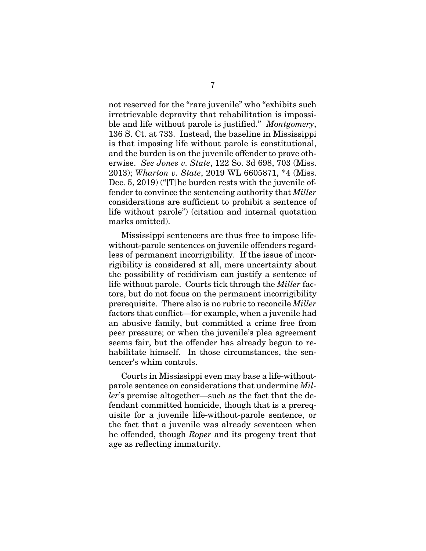not reserved for the "rare juvenile" who "exhibits such irretrievable depravity that rehabilitation is impossible and life without parole is justified." *Montgomery*, 136 S. Ct. at 733. Instead, the baseline in Mississippi is that imposing life without parole is constitutional, and the burden is on the juvenile offender to prove otherwise. *See Jones v. State*, 122 So. 3d 698, 703 (Miss. 2013); *Wharton v. State*, 2019 WL 6605871, \*4 (Miss. Dec. 5, 2019) ("[T]he burden rests with the juvenile offender to convince the sentencing authority that *Miller* considerations are sufficient to prohibit a sentence of life without parole") (citation and internal quotation marks omitted).

Mississippi sentencers are thus free to impose lifewithout-parole sentences on juvenile offenders regardless of permanent incorrigibility. If the issue of incorrigibility is considered at all, mere uncertainty about the possibility of recidivism can justify a sentence of life without parole. Courts tick through the *Miller* factors, but do not focus on the permanent incorrigibility prerequisite. There also is no rubric to reconcile *Miller* factors that conflict—for example, when a juvenile had an abusive family, but committed a crime free from peer pressure; or when the juvenile's plea agreement seems fair, but the offender has already begun to rehabilitate himself. In those circumstances, the sentencer's whim controls.

Courts in Mississippi even may base a life-withoutparole sentence on considerations that undermine *Miller*'s premise altogether—such as the fact that the defendant committed homicide, though that is a prerequisite for a juvenile life-without-parole sentence, or the fact that a juvenile was already seventeen when he offended, though *Roper* and its progeny treat that age as reflecting immaturity.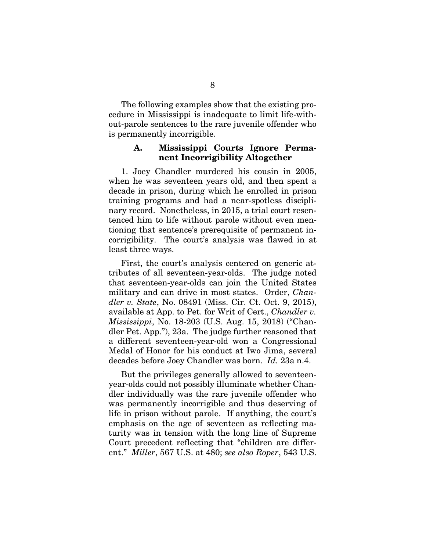The following examples show that the existing procedure in Mississippi is inadequate to limit life-without-parole sentences to the rare juvenile offender who is permanently incorrigible.

#### A. Mississippi Courts Ignore Permanent Incorrigibility Altogether

1. Joey Chandler murdered his cousin in 2005, when he was seventeen years old, and then spent a decade in prison, during which he enrolled in prison training programs and had a near-spotless disciplinary record. Nonetheless, in 2015, a trial court resentenced him to life without parole without even mentioning that sentence's prerequisite of permanent incorrigibility. The court's analysis was flawed in at least three ways.

First, the court's analysis centered on generic attributes of all seventeen-year-olds. The judge noted that seventeen-year-olds can join the United States military and can drive in most states. Order, *Chandler v. State*, No. 08491 (Miss. Cir. Ct. Oct. 9, 2015), available at App. to Pet. for Writ of Cert., *Chandler v. Mississippi*, No. 18-203 (U.S. Aug. 15, 2018) ("Chandler Pet. App."), 23a. The judge further reasoned that a different seventeen-year-old won a Congressional Medal of Honor for his conduct at Iwo Jima, several decades before Joey Chandler was born. *Id.* 23a n.4.

But the privileges generally allowed to seventeenyear-olds could not possibly illuminate whether Chandler individually was the rare juvenile offender who was permanently incorrigible and thus deserving of life in prison without parole. If anything, the court's emphasis on the age of seventeen as reflecting maturity was in tension with the long line of Supreme Court precedent reflecting that "children are different." *Miller*, 567 U.S. at 480; *see also Roper*, 543 U.S.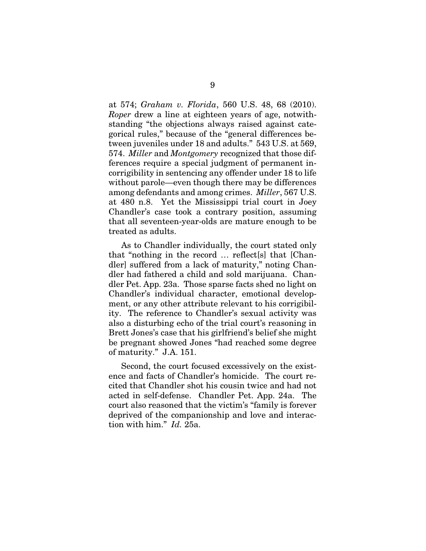at 574; *Graham v. Florida*, 560 U.S. 48, 68 (2010). *Roper* drew a line at eighteen years of age, notwithstanding "the objections always raised against categorical rules," because of the "general differences between juveniles under 18 and adults." 543 U.S. at 569, 574. *Miller* and *Montgomery* recognized that those differences require a special judgment of permanent incorrigibility in sentencing any offender under 18 to life without parole—even though there may be differences among defendants and among crimes. *Miller*, 567 U.S. at 480 n.8. Yet the Mississippi trial court in Joey Chandler's case took a contrary position, assuming that all seventeen-year-olds are mature enough to be treated as adults.

As to Chandler individually, the court stated only that "nothing in the record … reflect[s] that [Chandler] suffered from a lack of maturity," noting Chandler had fathered a child and sold marijuana. Chandler Pet. App. 23a. Those sparse facts shed no light on Chandler's individual character, emotional development, or any other attribute relevant to his corrigibility. The reference to Chandler's sexual activity was also a disturbing echo of the trial court's reasoning in Brett Jones's case that his girlfriend's belief she might be pregnant showed Jones "had reached some degree of maturity." J.A. 151.

Second, the court focused excessively on the existence and facts of Chandler's homicide. The court recited that Chandler shot his cousin twice and had not acted in self-defense. Chandler Pet. App. 24a. The court also reasoned that the victim's "family is forever deprived of the companionship and love and interaction with him." *Id.* 25a.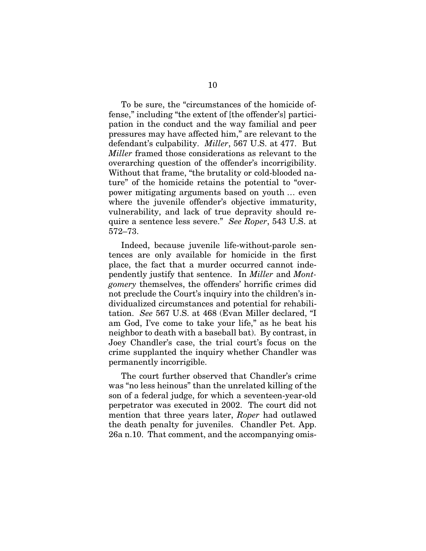To be sure, the "circumstances of the homicide offense," including "the extent of [the offender's] participation in the conduct and the way familial and peer pressures may have affected him," are relevant to the defendant's culpability. *Miller*, 567 U.S. at 477. But *Miller* framed those considerations as relevant to the overarching question of the offender's incorrigibility. Without that frame, "the brutality or cold-blooded nature" of the homicide retains the potential to "overpower mitigating arguments based on youth … even where the juvenile offender's objective immaturity, vulnerability, and lack of true depravity should require a sentence less severe." *See Roper*, 543 U.S. at 572–73.

Indeed, because juvenile life-without-parole sentences are only available for homicide in the first place, the fact that a murder occurred cannot independently justify that sentence. In *Miller* and *Montgomery* themselves, the offenders' horrific crimes did not preclude the Court's inquiry into the children's individualized circumstances and potential for rehabilitation. *See* 567 U.S. at 468 (Evan Miller declared, "I am God, I've come to take your life," as he beat his neighbor to death with a baseball bat). By contrast, in Joey Chandler's case, the trial court's focus on the crime supplanted the inquiry whether Chandler was permanently incorrigible.

The court further observed that Chandler's crime was "no less heinous" than the unrelated killing of the son of a federal judge, for which a seventeen-year-old perpetrator was executed in 2002. The court did not mention that three years later, *Roper* had outlawed the death penalty for juveniles. Chandler Pet. App. 26a n.10. That comment, and the accompanying omis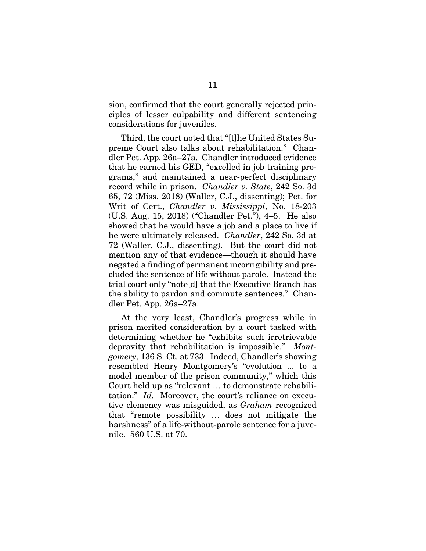sion, confirmed that the court generally rejected principles of lesser culpability and different sentencing considerations for juveniles.

Third, the court noted that "[t]he United States Supreme Court also talks about rehabilitation." Chandler Pet. App. 26a–27a. Chandler introduced evidence that he earned his GED, "excelled in job training programs," and maintained a near-perfect disciplinary record while in prison. *Chandler v. State*, 242 So. 3d 65, 72 (Miss. 2018) (Waller, C.J., dissenting); Pet. for Writ of Cert., *Chandler v. Mississippi*, No. 18-203 (U.S. Aug. 15, 2018) ("Chandler Pet."), 4–5. He also showed that he would have a job and a place to live if he were ultimately released. *Chandler*, 242 So. 3d at 72 (Waller, C.J., dissenting). But the court did not mention any of that evidence—though it should have negated a finding of permanent incorrigibility and precluded the sentence of life without parole. Instead the trial court only "note[d] that the Executive Branch has the ability to pardon and commute sentences." Chandler Pet. App. 26a–27a.

At the very least, Chandler's progress while in prison merited consideration by a court tasked with determining whether he "exhibits such irretrievable depravity that rehabilitation is impossible." *Montgomery*, 136 S. Ct. at 733. Indeed, Chandler's showing resembled Henry Montgomery's "evolution ... to a model member of the prison community," which this Court held up as "relevant … to demonstrate rehabilitation." *Id.* Moreover, the court's reliance on executive clemency was misguided, as *Graham* recognized that "remote possibility … does not mitigate the harshness" of a life-without-parole sentence for a juvenile. 560 U.S. at 70.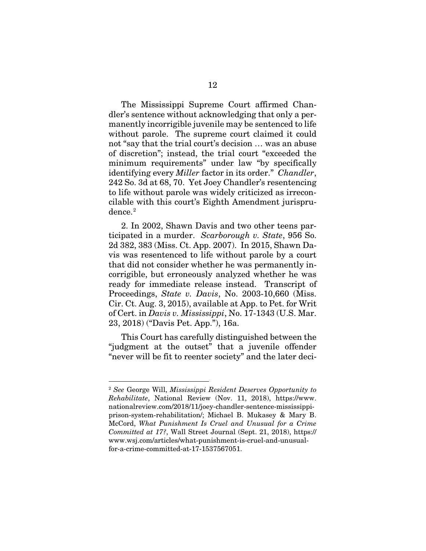The Mississippi Supreme Court affirmed Chandler's sentence without acknowledging that only a permanently incorrigible juvenile may be sentenced to life without parole. The supreme court claimed it could not "say that the trial court's decision … was an abuse of discretion"; instead, the trial court "exceeded the minimum requirements" under law "by specifically identifying every *Miller* factor in its order." *Chandler*, 242 So. 3d at 68, 70. Yet Joey Chandler's resentencing to life without parole was widely criticized as irreconcilable with this court's Eighth Amendment jurispru-dence.<sup>[2](#page-21-0)</sup>

2. In 2002, Shawn Davis and two other teens participated in a murder. *Scarborough v. State*, 956 So. 2d 382, 383 (Miss. Ct. App. 2007). In 2015, Shawn Davis was resentenced to life without parole by a court that did not consider whether he was permanently incorrigible, but erroneously analyzed whether he was ready for immediate release instead. Transcript of Proceedings, *State v. Davis*, No. 2003-10,660 (Miss. Cir. Ct. Aug. 3, 2015), available at App. to Pet. for Writ of Cert. in *Davis v. Mississippi*, No. 17-1343 (U.S. Mar. 23, 2018) ("Davis Pet. App."), 16a.

This Court has carefully distinguished between the "judgment at the outset" that a juvenile offender "never will be fit to reenter society" and the later deci-

<span id="page-21-0"></span> <sup>2</sup> *See* George Will, *Mississippi Resident Deserves Opportunity to Rehabilitate*, National Review (Nov. 11, 2018), https://www. nationalreview.com/2018/11/joey-chandler-sentence-mississippiprison-system-rehabilitation/; Michael B. Mukasey & Mary B. McCord, *What Punishment Is Cruel and Unusual for a Crime Committed at 17?*, Wall Street Journal (Sept. 21, 2018), https:// www.wsj.com/articles/what-punishment-is-cruel-and-unusualfor-a-crime-committed-at-17-1537567051.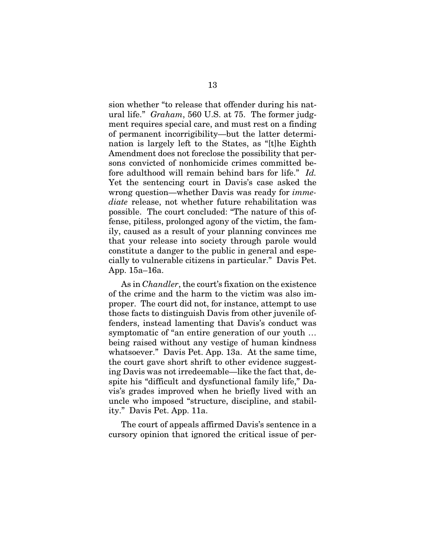sion whether "to release that offender during his natural life." *Graham*, 560 U.S. at 75. The former judgment requires special care, and must rest on a finding of permanent incorrigibility—but the latter determination is largely left to the States, as "[t]he Eighth Amendment does not foreclose the possibility that persons convicted of nonhomicide crimes committed before adulthood will remain behind bars for life." *Id.* Yet the sentencing court in Davis's case asked the wrong question—whether Davis was ready for *immediate* release, not whether future rehabilitation was possible. The court concluded: "The nature of this offense, pitiless, prolonged agony of the victim, the family, caused as a result of your planning convinces me that your release into society through parole would constitute a danger to the public in general and especially to vulnerable citizens in particular." Davis Pet. App. 15a–16a.

As in *Chandler*, the court's fixation on the existence of the crime and the harm to the victim was also improper. The court did not, for instance, attempt to use those facts to distinguish Davis from other juvenile offenders, instead lamenting that Davis's conduct was symptomatic of "an entire generation of our youth … being raised without any vestige of human kindness whatsoever." Davis Pet. App. 13a. At the same time, the court gave short shrift to other evidence suggesting Davis was not irredeemable—like the fact that, despite his "difficult and dysfunctional family life," Davis's grades improved when he briefly lived with an uncle who imposed "structure, discipline, and stability." Davis Pet. App. 11a.

The court of appeals affirmed Davis's sentence in a cursory opinion that ignored the critical issue of per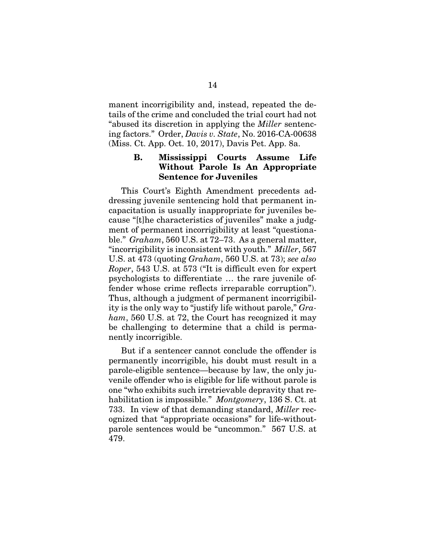manent incorrigibility and, instead, repeated the details of the crime and concluded the trial court had not "abused its discretion in applying the *Miller* sentencing factors." Order, *Davis v. State*, No. 2016-CA-00638 (Miss. Ct. App. Oct. 10, 2017), Davis Pet. App. 8a.

### B. Mississippi Courts Assume Life Without Parole Is An Appropriate Sentence for Juveniles

This Court's Eighth Amendment precedents addressing juvenile sentencing hold that permanent incapacitation is usually inappropriate for juveniles because "[t]he characteristics of juveniles" make a judgment of permanent incorrigibility at least "questionable." *Graham*, 560 U.S. at 72–73. As a general matter, "incorrigibility is inconsistent with youth." *Miller*, 567 U.S. at 473 (quoting *Graham*, 560 U.S. at 73); *see also Roper*, 543 U.S. at 573 ("It is difficult even for expert psychologists to differentiate … the rare juvenile offender whose crime reflects irreparable corruption"). Thus, although a judgment of permanent incorrigibility is the only way to "justify life without parole," *Graham*, 560 U.S. at 72, the Court has recognized it may be challenging to determine that a child is permanently incorrigible.

But if a sentencer cannot conclude the offender is permanently incorrigible, his doubt must result in a parole-eligible sentence—because by law, the only juvenile offender who is eligible for life without parole is one "who exhibits such irretrievable depravity that rehabilitation is impossible." *Montgomery*, 136 S. Ct. at 733. In view of that demanding standard, *Miller* recognized that "appropriate occasions" for life-withoutparole sentences would be "uncommon." 567 U.S. at 479.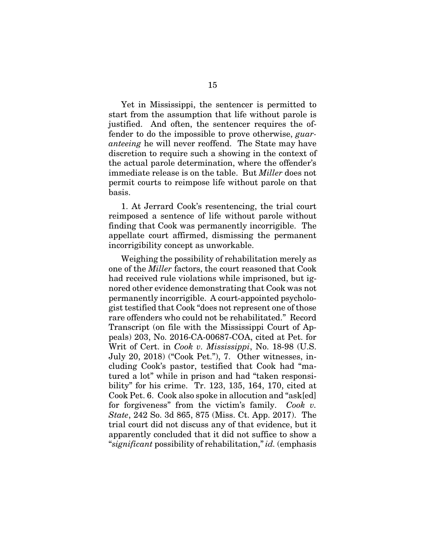Yet in Mississippi, the sentencer is permitted to start from the assumption that life without parole is justified. And often, the sentencer requires the offender to do the impossible to prove otherwise, *guaranteeing* he will never reoffend. The State may have discretion to require such a showing in the context of the actual parole determination, where the offender's immediate release is on the table. But *Miller* does not permit courts to reimpose life without parole on that basis.

1. At Jerrard Cook's resentencing, the trial court reimposed a sentence of life without parole without finding that Cook was permanently incorrigible. The appellate court affirmed, dismissing the permanent incorrigibility concept as unworkable.

Weighing the possibility of rehabilitation merely as one of the *Miller* factors, the court reasoned that Cook had received rule violations while imprisoned, but ignored other evidence demonstrating that Cook was not permanently incorrigible. A court-appointed psychologist testified that Cook "does not represent one of those rare offenders who could not be rehabilitated." Record Transcript (on file with the Mississippi Court of Appeals) 203, No. 2016-CA-00687-COA, cited at Pet. for Writ of Cert. in *Cook v. Mississippi*, No. 18-98 (U.S. July 20, 2018) ("Cook Pet."), 7. Other witnesses, including Cook's pastor, testified that Cook had "matured a lot" while in prison and had "taken responsibility" for his crime. Tr. 123, 135, 164, 170, cited at Cook Pet. 6. Cook also spoke in allocution and "ask[ed] for forgiveness" from the victim's family. *Cook v. State*, 242 So. 3d 865, 875 (Miss. Ct. App. 2017). The trial court did not discuss any of that evidence, but it apparently concluded that it did not suffice to show a "*significant* possibility of rehabilitation," *id.* (emphasis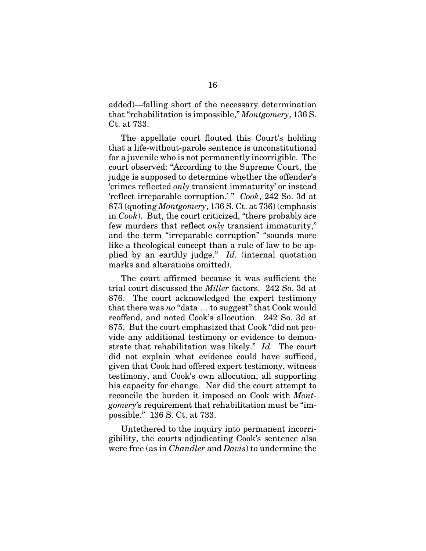added)—falling short of the necessary determination that "rehabilitation is impossible," *Montgomery*, 136 S. Ct. at 733.

The appellate court flouted this Court's holding that a life-without-parole sentence is unconstitutional for a juvenile who is not permanently incorrigible. The court observed: "According to the Supreme Court, the judge is supposed to determine whether the offender's 'crimes reflected *only* transient immaturity' or instead 'reflect irreparable corruption.'" *Cook*, 242 So. 3d at 873 (quoting *Montgomery*, 136 S. Ct. at 736) (emphasis in *Cook*). But, the court criticized, "there probably are few murders that reflect *only* transient immaturity," and the term "irreparable corruption" "sounds more like a theological concept than a rule of law to be applied by an earthly judge." *Id.* (internal quotation marks and alterations omitted).

The court affirmed because it was sufficient the trial court discussed the *Miller* factors. 242 So. 3d at 876. The court acknowledged the expert testimony that there was *no* "data … to suggest" that Cook would reoffend, and noted Cook's allocution. 242 So. 3d at 875. But the court emphasized that Cook "did not provide any additional testimony or evidence to demonstrate that rehabilitation was likely." *Id.* The court did not explain what evidence could have sufficed, given that Cook had offered expert testimony, witness testimony, and Cook's own allocution, all supporting his capacity for change. Nor did the court attempt to reconcile the burden it imposed on Cook with *Montgomery*'s requirement that rehabilitation must be "impossible." 136 S. Ct. at 733.

Untethered to the inquiry into permanent incorrigibility, the courts adjudicating Cook's sentence also were free (as in *Chandler* and *Davis*) to undermine the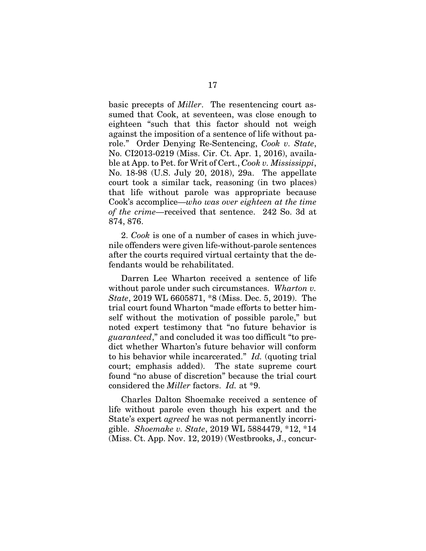basic precepts of *Miller*. The resentencing court assumed that Cook, at seventeen, was close enough to eighteen "such that this factor should not weigh against the imposition of a sentence of life without parole." Order Denying Re-Sentencing, *Cook v. State*, No. CI2013-0219 (Miss. Cir. Ct. Apr. 1, 2016), available at App. to Pet. for Writ of Cert., *Cook v. Mississippi*, No. 18-98 (U.S. July 20, 2018), 29a. The appellate court took a similar tack, reasoning (in two places) that life without parole was appropriate because Cook's accomplice—*who was over eighteen at the time of the crime*—received that sentence. 242 So. 3d at 874, 876.

2. *Cook* is one of a number of cases in which juvenile offenders were given life-without-parole sentences after the courts required virtual certainty that the defendants would be rehabilitated.

Darren Lee Wharton received a sentence of life without parole under such circumstances. *Wharton v. State*, 2019 WL 6605871, \*8 (Miss. Dec. 5, 2019). The trial court found Wharton "made efforts to better himself without the motivation of possible parole," but noted expert testimony that "no future behavior is *guaranteed*," and concluded it was too difficult "to predict whether Wharton's future behavior will conform to his behavior while incarcerated." *Id.* (quoting trial court; emphasis added). The state supreme court found "no abuse of discretion" because the trial court considered the *Miller* factors. *Id.* at \*9.

Charles Dalton Shoemake received a sentence of life without parole even though his expert and the State's expert *agreed* he was not permanently incorrigible. *Shoemake v. State*, 2019 WL 5884479, \*12, \*14 (Miss. Ct. App. Nov. 12, 2019) (Westbrooks, J., concur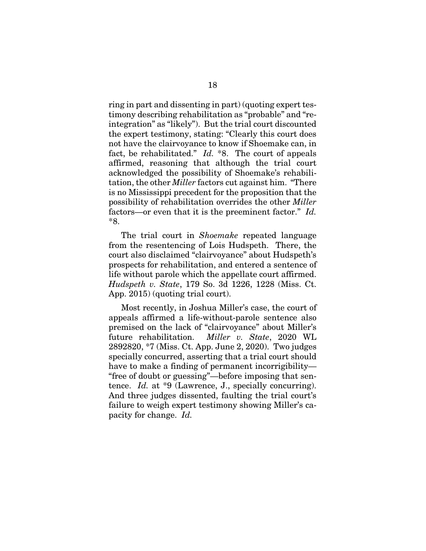ring in part and dissenting in part) (quoting expert testimony describing rehabilitation as "probable" and "reintegration" as "likely"). But the trial court discounted the expert testimony, stating: "Clearly this court does not have the clairvoyance to know if Shoemake can, in fact, be rehabilitated." *Id.* \*8. The court of appeals affirmed, reasoning that although the trial court acknowledged the possibility of Shoemake's rehabilitation, the other *Miller* factors cut against him. "There is no Mississippi precedent for the proposition that the possibility of rehabilitation overrides the other *Miller* factors—or even that it is the preeminent factor." *Id.* \*8.

The trial court in *Shoemake* repeated language from the resentencing of Lois Hudspeth. There, the court also disclaimed "clairvoyance" about Hudspeth's prospects for rehabilitation, and entered a sentence of life without parole which the appellate court affirmed. *Hudspeth v. State*, 179 So. 3d 1226, 1228 (Miss. Ct. App. 2015) (quoting trial court).

Most recently, in Joshua Miller's case, the court of appeals affirmed a life-without-parole sentence also premised on the lack of "clairvoyance" about Miller's future rehabilitation. *Miller v. State*, 2020 WL 2892820, \*7 (Miss. Ct. App. June 2, 2020). Two judges specially concurred, asserting that a trial court should have to make a finding of permanent incorrigibility— "free of doubt or guessing"—before imposing that sentence. *Id.* at \*9 (Lawrence, J., specially concurring). And three judges dissented, faulting the trial court's failure to weigh expert testimony showing Miller's capacity for change. *Id.*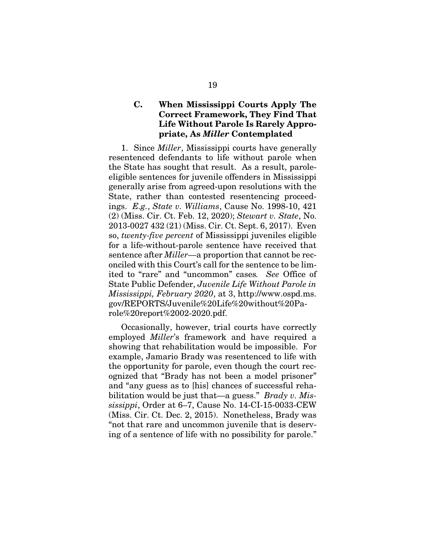## C. When Mississippi Courts Apply The Correct Framework, They Find That Life Without Parole Is Rarely Appropriate, As *Miller* Contemplated

1. Since *Miller*, Mississippi courts have generally resentenced defendants to life without parole when the State has sought that result. As a result, paroleeligible sentences for juvenile offenders in Mississippi generally arise from agreed-upon resolutions with the State, rather than contested resentencing proceedings. *E.g.*, *State v. Williams*, Cause No. 1998-10, 421 (2) (Miss. Cir. Ct. Feb. 12, 2020); *Stewart v. State*, No. 2013-0027 432 (21) (Miss. Cir. Ct. Sept. 6, 2017). Even so, *twenty-five percent* of Mississippi juveniles eligible for a life-without-parole sentence have received that sentence after *Miller*—a proportion that cannot be reconciled with this Court's call for the sentence to be limited to "rare" and "uncommon" cases*. See* Office of State Public Defender, *Juvenile Life Without Parole in Mississippi, February 2020*, at 3, http://www.ospd.ms. gov/REPORTS/Juvenile%20Life%20without%20Parole%20report%2002-2020.pdf.

Occasionally, however, trial courts have correctly employed *Miller*'s framework and have required a showing that rehabilitation would be impossible. For example, Jamario Brady was resentenced to life with the opportunity for parole, even though the court recognized that "Brady has not been a model prisoner" and "any guess as to [his] chances of successful rehabilitation would be just that—a guess." *Brady v. Mississippi*, Order at 6–7, Cause No. 14-CI-15-0033-CEW (Miss. Cir. Ct. Dec. 2, 2015). Nonetheless, Brady was "not that rare and uncommon juvenile that is deserving of a sentence of life with no possibility for parole."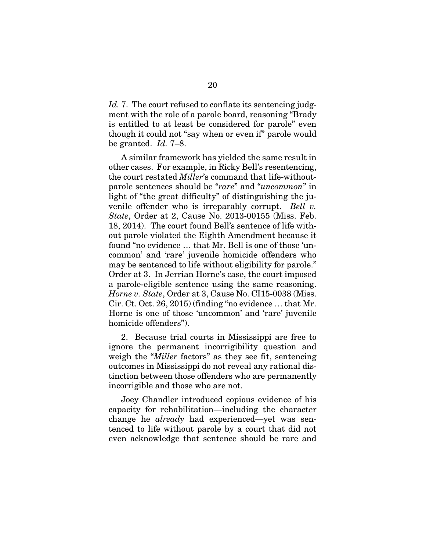*Id.* 7. The court refused to conflate its sentencing judgment with the role of a parole board, reasoning "Brady is entitled to at least be considered for parole" even though it could not "say when or even if" parole would be granted. *Id.* 7–8.

A similar framework has yielded the same result in other cases. For example, in Ricky Bell's resentencing, the court restated *Miller*'s command that life-withoutparole sentences should be "*rare*" and "*uncommon*" in light of "the great difficulty" of distinguishing the juvenile offender who is irreparably corrupt. *Bell v. State*, Order at 2, Cause No. 2013-00155 (Miss. Feb. 18, 2014). The court found Bell's sentence of life without parole violated the Eighth Amendment because it found "no evidence … that Mr. Bell is one of those 'uncommon' and 'rare' juvenile homicide offenders who may be sentenced to life without eligibility for parole." Order at 3. In Jerrian Horne's case, the court imposed a parole-eligible sentence using the same reasoning. *Horne v. State*, Order at 3, Cause No. CI15-0038 (Miss. Cir. Ct. Oct. 26, 2015) (finding "no evidence … that Mr. Horne is one of those 'uncommon' and 'rare' juvenile homicide offenders").

2. Because trial courts in Mississippi are free to ignore the permanent incorrigibility question and weigh the "*Miller* factors" as they see fit, sentencing outcomes in Mississippi do not reveal any rational distinction between those offenders who are permanently incorrigible and those who are not.

Joey Chandler introduced copious evidence of his capacity for rehabilitation—including the character change he *already* had experienced—yet was sentenced to life without parole by a court that did not even acknowledge that sentence should be rare and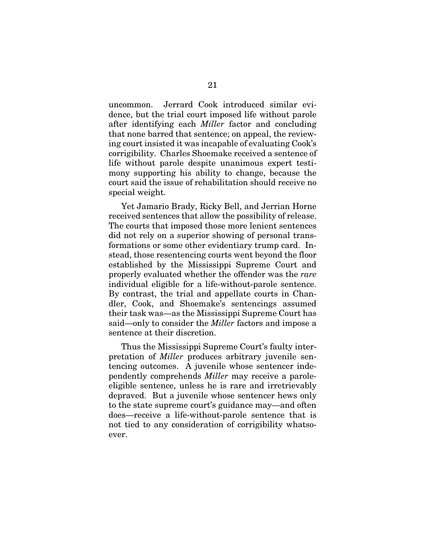uncommon. Jerrard Cook introduced similar evidence, but the trial court imposed life without parole after identifying each *Miller* factor and concluding that none barred that sentence; on appeal, the reviewing court insisted it was incapable of evaluating Cook's corrigibility. Charles Shoemake received a sentence of life without parole despite unanimous expert testimony supporting his ability to change, because the court said the issue of rehabilitation should receive no special weight.

Yet Jamario Brady, Ricky Bell, and Jerrian Horne received sentences that allow the possibility of release. The courts that imposed those more lenient sentences did not rely on a superior showing of personal transformations or some other evidentiary trump card. Instead, those resentencing courts went beyond the floor established by the Mississippi Supreme Court and properly evaluated whether the offender was the *rare* individual eligible for a life-without-parole sentence. By contrast, the trial and appellate courts in Chandler, Cook, and Shoemake's sentencings assumed their task was—as the Mississippi Supreme Court has said—only to consider the *Miller* factors and impose a sentence at their discretion.

Thus the Mississippi Supreme Court's faulty interpretation of *Miller* produces arbitrary juvenile sentencing outcomes. A juvenile whose sentencer independently comprehends *Miller* may receive a paroleeligible sentence, unless he is rare and irretrievably depraved. But a juvenile whose sentencer hews only to the state supreme court's guidance may—and often does—receive a life-without-parole sentence that is not tied to any consideration of corrigibility whatsoever.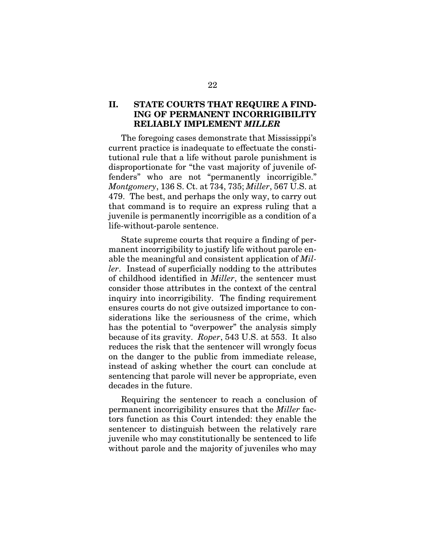#### II. STATE COURTS THAT REQUIRE A FIND-ING OF PERMANENT INCORRIGIBILITY RELIABLY IMPLEMENT *MILLER*

The foregoing cases demonstrate that Mississippi's current practice is inadequate to effectuate the constitutional rule that a life without parole punishment is disproportionate for "the vast majority of juvenile offenders" who are not "permanently incorrigible." *Montgomery*, 136 S. Ct. at 734, 735; *Miller*, 567 U.S. at 479. The best, and perhaps the only way, to carry out that command is to require an express ruling that a juvenile is permanently incorrigible as a condition of a life-without-parole sentence.

State supreme courts that require a finding of permanent incorrigibility to justify life without parole enable the meaningful and consistent application of *Miller*. Instead of superficially nodding to the attributes of childhood identified in *Miller*, the sentencer must consider those attributes in the context of the central inquiry into incorrigibility. The finding requirement ensures courts do not give outsized importance to considerations like the seriousness of the crime, which has the potential to "overpower" the analysis simply because of its gravity. *Roper*, 543 U.S. at 553. It also reduces the risk that the sentencer will wrongly focus on the danger to the public from immediate release, instead of asking whether the court can conclude at sentencing that parole will never be appropriate, even decades in the future.

Requiring the sentencer to reach a conclusion of permanent incorrigibility ensures that the *Miller* factors function as this Court intended: they enable the sentencer to distinguish between the relatively rare juvenile who may constitutionally be sentenced to life without parole and the majority of juveniles who may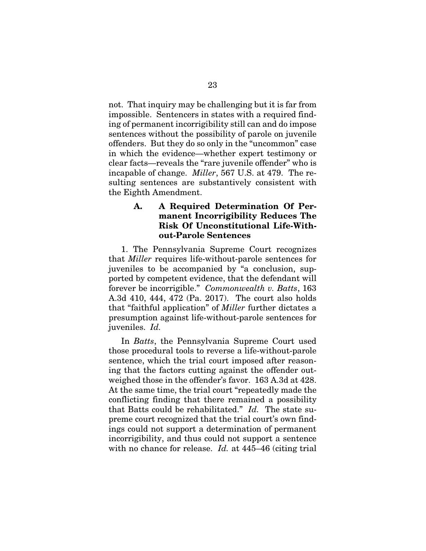not. That inquiry may be challenging but it is far from impossible. Sentencers in states with a required finding of permanent incorrigibility still can and do impose sentences without the possibility of parole on juvenile offenders. But they do so only in the "uncommon" case in which the evidence—whether expert testimony or clear facts—reveals the "rare juvenile offender" who is incapable of change. *Miller*, 567 U.S. at 479. The resulting sentences are substantively consistent with the Eighth Amendment.

#### A. A Required Determination Of Permanent Incorrigibility Reduces The Risk Of Unconstitutional Life-Without-Parole Sentences

1. The Pennsylvania Supreme Court recognizes that *Miller* requires life-without-parole sentences for juveniles to be accompanied by "a conclusion, supported by competent evidence, that the defendant will forever be incorrigible." *Commonwealth v. Batts*, 163 A.3d 410, 444, 472 (Pa. 2017). The court also holds that "faithful application" of *Miller* further dictates a presumption against life-without-parole sentences for juveniles. *Id.*

In *Batts*, the Pennsylvania Supreme Court used those procedural tools to reverse a life-without-parole sentence, which the trial court imposed after reasoning that the factors cutting against the offender outweighed those in the offender's favor. 163 A.3d at 428. At the same time, the trial court "repeatedly made the conflicting finding that there remained a possibility that Batts could be rehabilitated." *Id.* The state supreme court recognized that the trial court's own findings could not support a determination of permanent incorrigibility, and thus could not support a sentence with no chance for release. *Id.* at 445–46 (citing trial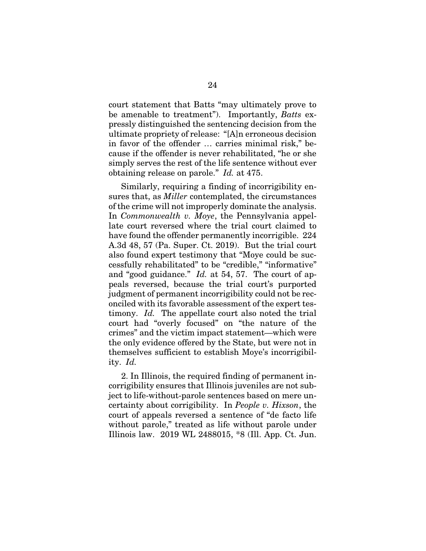court statement that Batts "may ultimately prove to be amenable to treatment"). Importantly, *Batts* expressly distinguished the sentencing decision from the ultimate propriety of release: "[A]n erroneous decision in favor of the offender … carries minimal risk," because if the offender is never rehabilitated, "he or she simply serves the rest of the life sentence without ever obtaining release on parole." *Id.* at 475.

Similarly, requiring a finding of incorrigibility ensures that, as *Miller* contemplated, the circumstances of the crime will not improperly dominate the analysis. In *Commonwealth v. Moye*, the Pennsylvania appellate court reversed where the trial court claimed to have found the offender permanently incorrigible. 224 A.3d 48, 57 (Pa. Super. Ct. 2019). But the trial court also found expert testimony that "Moye could be successfully rehabilitated" to be "credible," "informative" and "good guidance." *Id.* at 54, 57. The court of appeals reversed, because the trial court's purported judgment of permanent incorrigibility could not be reconciled with its favorable assessment of the expert testimony. *Id.* The appellate court also noted the trial court had "overly focused" on "the nature of the crimes" and the victim impact statement—which were the only evidence offered by the State, but were not in themselves sufficient to establish Moye's incorrigibility. *Id.*

2. In Illinois, the required finding of permanent incorrigibility ensures that Illinois juveniles are not subject to life-without-parole sentences based on mere uncertainty about corrigibility. In *People v. Hixson*, the court of appeals reversed a sentence of "de facto life without parole," treated as life without parole under Illinois law. 2019 WL 2488015, \*8 (Ill. App. Ct. Jun.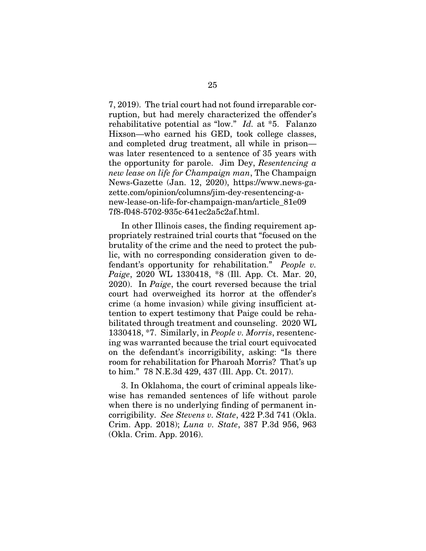7, 2019). The trial court had not found irreparable corruption, but had merely characterized the offender's rehabilitative potential as "low." *Id.* at \*5. Falanzo Hixson—who earned his GED, took college classes, and completed drug treatment, all while in prison was later resentenced to a sentence of 35 years with the opportunity for parole. Jim Dey, *Resentencing a new lease on life for Champaign man*, The Champaign News-Gazette (Jan. 12, 2020), https://www.news-gazette.com/opinion/columns/jim-dey-resentencing-anew-lease-on-life-for-champaign-man/article\_81e09 7f8-f048-5702-935c-641ec2a5c2af.html.

In other Illinois cases, the finding requirement appropriately restrained trial courts that "focused on the brutality of the crime and the need to protect the public, with no corresponding consideration given to defendant's opportunity for rehabilitation." *People v. Paige*, 2020 WL 1330418, \*8 (Ill. App. Ct. Mar. 20, 2020). In *Paige*, the court reversed because the trial court had overweighed its horror at the offender's crime (a home invasion) while giving insufficient attention to expert testimony that Paige could be rehabilitated through treatment and counseling. 2020 WL 1330418, \*7. Similarly, in *People v. Morris*, resentencing was warranted because the trial court equivocated on the defendant's incorrigibility, asking: "Is there room for rehabilitation for Pharoah Morris? That's up to him." 78 N.E.3d 429, 437 (Ill. App. Ct. 2017).

3. In Oklahoma, the court of criminal appeals likewise has remanded sentences of life without parole when there is no underlying finding of permanent incorrigibility. *See Stevens v. State*, 422 P.3d 741 (Okla. Crim. App. 2018); *Luna v. State*, 387 P.3d 956, 963 (Okla. Crim. App. 2016).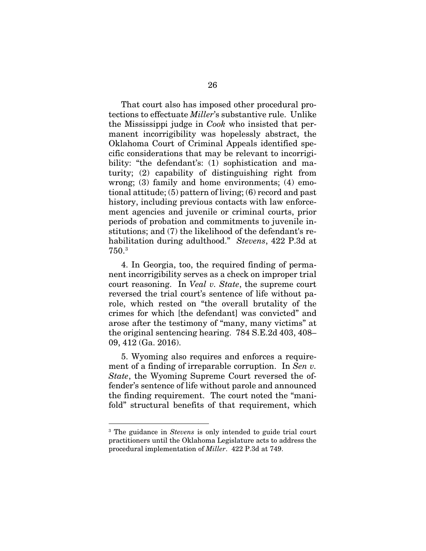That court also has imposed other procedural protections to effectuate *Miller*'s substantive rule. Unlike the Mississippi judge in *Cook* who insisted that permanent incorrigibility was hopelessly abstract, the Oklahoma Court of Criminal Appeals identified specific considerations that may be relevant to incorrigibility: "the defendant's: (1) sophistication and maturity; (2) capability of distinguishing right from wrong; (3) family and home environments; (4) emotional attitude; (5) pattern of living; (6) record and past history, including previous contacts with law enforcement agencies and juvenile or criminal courts, prior periods of probation and commitments to juvenile institutions; and (7) the likelihood of the defendant's rehabilitation during adulthood." *Stevens*, 422 P.3d at 750.[3](#page-35-0)

4. In Georgia, too, the required finding of permanent incorrigibility serves as a check on improper trial court reasoning. In *Veal v. State*, the supreme court reversed the trial court's sentence of life without parole, which rested on "the overall brutality of the crimes for which [the defendant] was convicted" and arose after the testimony of "many, many victims" at the original sentencing hearing. 784 S.E.2d 403, 408– 09, 412 (Ga. 2016).

5. Wyoming also requires and enforces a requirement of a finding of irreparable corruption. In *Sen v. State*, the Wyoming Supreme Court reversed the offender's sentence of life without parole and announced the finding requirement. The court noted the "manifold" structural benefits of that requirement, which

<span id="page-35-0"></span> <sup>3</sup> The guidance in *Stevens* is only intended to guide trial court practitioners until the Oklahoma Legislature acts to address the procedural implementation of *Miller*. 422 P.3d at 749.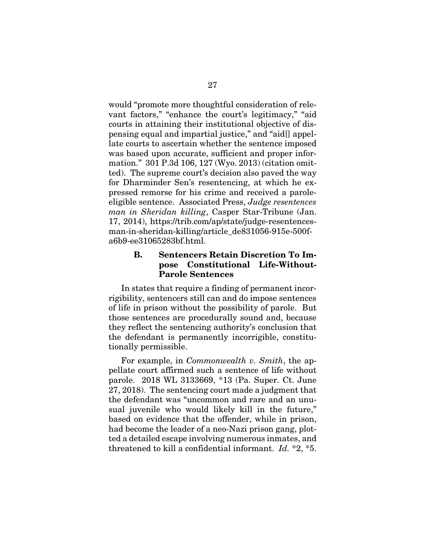would "promote more thoughtful consideration of relevant factors," "enhance the court's legitimacy," "aid courts in attaining their institutional objective of dispensing equal and impartial justice," and "aid[] appellate courts to ascertain whether the sentence imposed was based upon accurate, sufficient and proper information." 301 P.3d 106, 127 (Wyo. 2013) (citation omitted). The supreme court's decision also paved the way for Dharminder Sen's resentencing, at which he expressed remorse for his crime and received a paroleeligible sentence. Associated Press, *Judge resentences man in Sheridan killing*, Casper Star-Tribune (Jan. 17, 2014), https://trib.com/ap/state/judge-resentencesman-in-sheridan-killing/article\_de831056-915e-500fa6b9-ee31065283bf.html.

#### B. Sentencers Retain Discretion To Impose Constitutional Life-Without-Parole Sentences

In states that require a finding of permanent incorrigibility, sentencers still can and do impose sentences of life in prison without the possibility of parole. But those sentences are procedurally sound and, because they reflect the sentencing authority's conclusion that the defendant is permanently incorrigible, constitutionally permissible.

For example, in *Commonwealth v. Smith*, the appellate court affirmed such a sentence of life without parole.2018 WL 3133669, \*13 (Pa. Super. Ct. June 27, 2018). The sentencing court made a judgment that the defendant was "uncommon and rare and an unusual juvenile who would likely kill in the future," based on evidence that the offender, while in prison, had become the leader of a neo-Nazi prison gang, plotted a detailed escape involving numerous inmates, and threatened to kill a confidential informant. *Id.* \*2, \*5.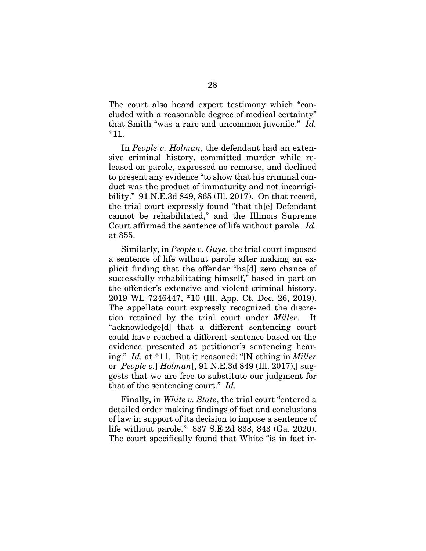The court also heard expert testimony which "concluded with a reasonable degree of medical certainty" that Smith "was a rare and uncommon juvenile." *Id.* \*11.

In *People v. Holman*, the defendant had an extensive criminal history, committed murder while released on parole, expressed no remorse, and declined to present any evidence "to show that his criminal conduct was the product of immaturity and not incorrigibility." 91 N.E.3d 849, 865 (Ill. 2017). On that record, the trial court expressly found "that th[e] Defendant cannot be rehabilitated," and the Illinois Supreme Court affirmed the sentence of life without parole. *Id.*  at 855.

Similarly, in *People v. Guye*, the trial court imposed a sentence of life without parole after making an explicit finding that the offender "ha[d] zero chance of successfully rehabilitating himself," based in part on the offender's extensive and violent criminal history. 2019 WL 7246447, \*10 (Ill. App. Ct. Dec. 26, 2019). The appellate court expressly recognized the discretion retained by the trial court under *Miller*. "acknowledge[d] that a different sentencing court could have reached a different sentence based on the evidence presented at petitioner's sentencing hearing." *Id.* at \*11. But it reasoned: "[N]othing in *Miller* or [*People v.*] *Holman*[, 91 N.E.3d 849 (Ill. 2017),] suggests that we are free to substitute our judgment for that of the sentencing court." *Id.*

Finally, in *White v. State*, the trial court "entered a detailed order making findings of fact and conclusions of law in support of its decision to impose a sentence of life without parole." 837 S.E.2d 838, 843 (Ga. 2020). The court specifically found that White "is in fact ir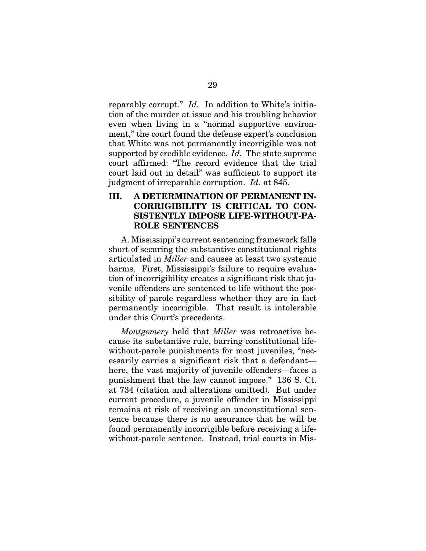reparably corrupt." *Id.* In addition to White's initiation of the murder at issue and his troubling behavior even when living in a "normal supportive environment," the court found the defense expert's conclusion that White was not permanently incorrigible was not supported by credible evidence. *Id.* The state supreme court affirmed: "The record evidence that the trial court laid out in detail" was sufficient to support its judgment of irreparable corruption. *Id.* at 845.

## III. A DETERMINATION OF PERMANENT IN-CORRIGIBILITY IS CRITICAL TO CON-SISTENTLY IMPOSE LIFE-WITHOUT-PA-ROLE SENTENCES

A. Mississippi's current sentencing framework falls short of securing the substantive constitutional rights articulated in *Miller* and causes at least two systemic harms. First, Mississippi's failure to require evaluation of incorrigibility creates a significant risk that juvenile offenders are sentenced to life without the possibility of parole regardless whether they are in fact permanently incorrigible. That result is intolerable under this Court's precedents.

*Montgomery* held that *Miller* was retroactive because its substantive rule, barring constitutional lifewithout-parole punishments for most juveniles, "necessarily carries a significant risk that a defendant here, the vast majority of juvenile offenders—faces a punishment that the law cannot impose." 136 S. Ct. at 734 (citation and alterations omitted). But under current procedure, a juvenile offender in Mississippi remains at risk of receiving an unconstitutional sentence because there is no assurance that he will be found permanently incorrigible before receiving a lifewithout-parole sentence. Instead, trial courts in Mis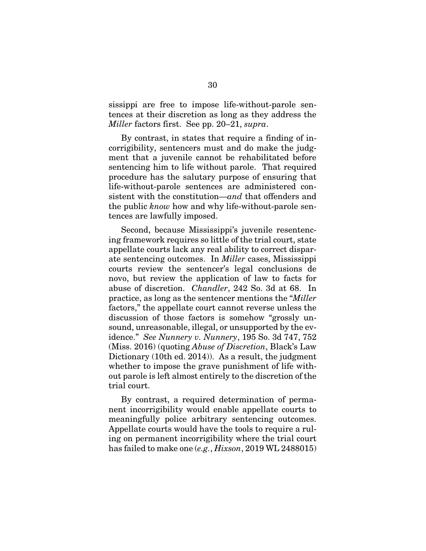sissippi are free to impose life-without-parole sentences at their discretion as long as they address the *Miller* factors first. See pp. 20–21, *supra*.

By contrast, in states that require a finding of incorrigibility, sentencers must and do make the judgment that a juvenile cannot be rehabilitated before sentencing him to life without parole. That required procedure has the salutary purpose of ensuring that life-without-parole sentences are administered consistent with the constitution—*and* that offenders and the public *know* how and why life-without-parole sentences are lawfully imposed.

Second, because Mississippi's juvenile resentencing framework requires so little of the trial court, state appellate courts lack any real ability to correct disparate sentencing outcomes. In *Miller* cases, Mississippi courts review the sentencer's legal conclusions de novo, but review the application of law to facts for abuse of discretion. *Chandler*, 242 So. 3d at 68. In practice, as long as the sentencer mentions the "*Miller* factors," the appellate court cannot reverse unless the discussion of those factors is somehow "grossly unsound, unreasonable, illegal, or unsupported by the evidence." *See Nunnery v. Nunnery*, 195 So. 3d 747, 752 (Miss. 2016) (quoting *Abuse of Discretion*, Black's Law Dictionary (10th ed. 2014)). As a result, the judgment whether to impose the grave punishment of life without parole is left almost entirely to the discretion of the trial court.

By contrast, a required determination of permanent incorrigibility would enable appellate courts to meaningfully police arbitrary sentencing outcomes. Appellate courts would have the tools to require a ruling on permanent incorrigibility where the trial court has failed to make one (*e.g.*, *Hixson*, 2019 WL 2488015)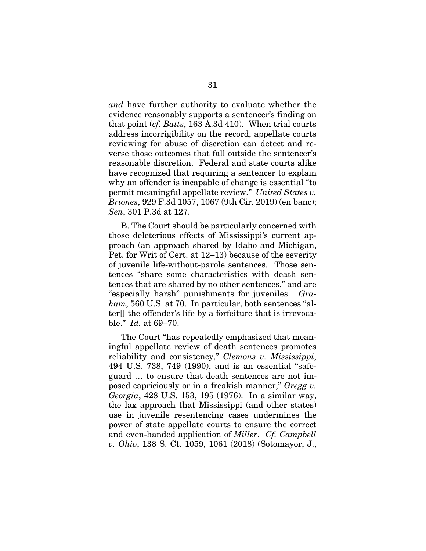*and* have further authority to evaluate whether the evidence reasonably supports a sentencer's finding on that point (*cf. Batts*, 163 A.3d 410). When trial courts address incorrigibility on the record, appellate courts reviewing for abuse of discretion can detect and reverse those outcomes that fall outside the sentencer's reasonable discretion. Federal and state courts alike have recognized that requiring a sentencer to explain why an offender is incapable of change is essential "to permit meaningful appellate review." *United States v. Briones*, 929 F.3d 1057, 1067 (9th Cir. 2019) (en banc); *Sen*, 301 P.3d at 127.

B. The Court should be particularly concerned with those deleterious effects of Mississippi's current approach (an approach shared by Idaho and Michigan, Pet. for Writ of Cert. at 12–13) because of the severity of juvenile life-without-parole sentences. Those sentences "share some characteristics with death sentences that are shared by no other sentences," and are "especially harsh" punishments for juveniles. *Graham*, 560 U.S. at 70. In particular, both sentences "alter[] the offender's life by a forfeiture that is irrevocable." *Id.* at 69–70.

The Court "has repeatedly emphasized that meaningful appellate review of death sentences promotes reliability and consistency," *Clemons v. Mississippi*, 494 U.S. 738, 749 (1990), and is an essential "safeguard … to ensure that death sentences are not imposed capriciously or in a freakish manner," *Gregg v. Georgia*, 428 U.S. 153, 195 (1976). In a similar way, the lax approach that Mississippi (and other states) use in juvenile resentencing cases undermines the power of state appellate courts to ensure the correct and even-handed application of *Miller*. *Cf. Campbell v. Ohio*, 138 S. Ct. 1059, 1061 (2018) (Sotomayor, J.,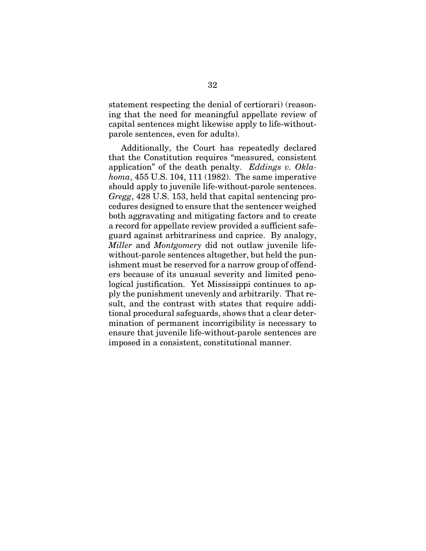statement respecting the denial of certiorari) (reasoning that the need for meaningful appellate review of capital sentences might likewise apply to life-withoutparole sentences, even for adults).

Additionally, the Court has repeatedly declared that the Constitution requires "measured, consistent application" of the death penalty. *Eddings v. Oklahoma*, 455 U.S. 104, 111 (1982). The same imperative should apply to juvenile life-without-parole sentences. *Gregg*, 428 U.S. 153, held that capital sentencing procedures designed to ensure that the sentencer weighed both aggravating and mitigating factors and to create a record for appellate review provided a sufficient safeguard against arbitrariness and caprice. By analogy, *Miller* and *Montgomery* did not outlaw juvenile lifewithout-parole sentences altogether, but held the punishment must be reserved for a narrow group of offenders because of its unusual severity and limited penological justification. Yet Mississippi continues to apply the punishment unevenly and arbitrarily. That result, and the contrast with states that require additional procedural safeguards, shows that a clear determination of permanent incorrigibility is necessary to ensure that juvenile life-without-parole sentences are imposed in a consistent, constitutional manner.